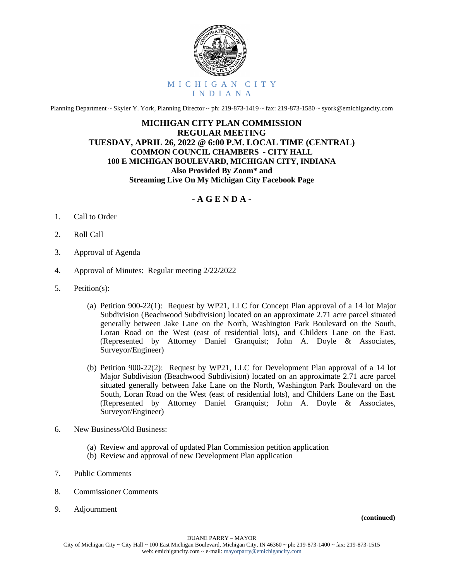

Planning Department ~ Skyler Y. York, Planning Director ~ ph: 219-873-1419 ~ fax: 219-873-1580 ~ syork@emichigancity.com

## **MICHIGAN CITY PLAN COMMISSION REGULAR MEETING TUESDAY, APRIL 26, 2022 @ 6:00 P.M. LOCAL TIME (CENTRAL) COMMON COUNCIL CHAMBERS - CITY HALL 100 E MICHIGAN BOULEVARD, MICHIGAN CITY, INDIANA Also Provided By Zoom\* and Streaming Live On My Michigan City Facebook Page**

## **- A G E N D A -**

- 1. Call to Order
- 2. Roll Call
- 3. Approval of Agenda
- 4. Approval of Minutes: Regular meeting 2/22/2022
- 5. Petition(s):
	- (a) Petition 900-22(1): Request by WP21, LLC for Concept Plan approval of a 14 lot Major Subdivision (Beachwood Subdivision) located on an approximate 2.71 acre parcel situated generally between Jake Lane on the North, Washington Park Boulevard on the South, Loran Road on the West (east of residential lots), and Childers Lane on the East. (Represented by Attorney Daniel Granquist; John A. Doyle & Associates, Surveyor/Engineer)
	- (b) Petition 900-22(2): Request by WP21, LLC for Development Plan approval of a 14 lot Major Subdivision (Beachwood Subdivision) located on an approximate 2.71 acre parcel situated generally between Jake Lane on the North, Washington Park Boulevard on the South, Loran Road on the West (east of residential lots), and Childers Lane on the East. (Represented by Attorney Daniel Granquist; John A. Doyle & Associates, Surveyor/Engineer)
- 6. New Business/Old Business:
	- (a) Review and approval of updated Plan Commission petition application
	- (b) Review and approval of new Development Plan application
- 7. Public Comments
- 8. Commissioner Comments
- 9. Adjournment

 **(continued)**

DUANE PARRY – MAYOR

City of Michigan City ~ City Hall ~ 100 East Michigan Boulevard, Michigan City, IN 46360 ~ ph: 219-873-1400 ~ fax: 219-873-1515 web: emichigancity.com ~ e-mail: mayorparry@emichigancity.com